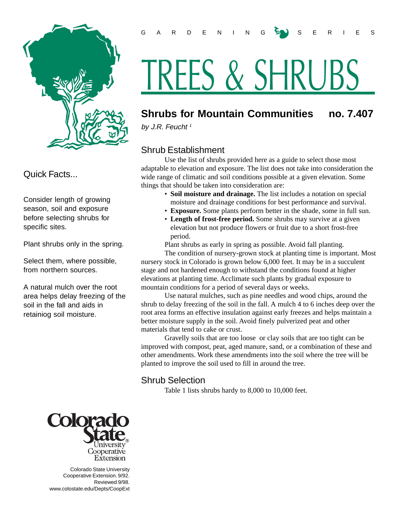

Quick Facts...

Consider length of growing season, soil and exposure before selecting shrubs for specific sites.

Plant shrubs only in the spring.

Select them, where possible, from northern sources.

A natural mulch over the root area helps delay freezing of the soil in the fall and aids in retainiog soil moisture.



 Colorado State University Cooperative Extension. 9/92. Reviewed 9/98. www.colostate.edu/Depts/CoopExt

# TREES & SHRUBS

## **Shrubs for Mountain Communities no. 7.407**

by J.R. Feucht<sup>1</sup>

## Shrub Establishment

Use the list of shrubs provided here as a guide to select those most adaptable to elevation and exposure. The list does not take into consideration the wide range of climatic and soil conditions possible at a given elevation. Some things that should be taken into consideration are:

- **Soil moisture and drainage.** The list includes a notation on special moisture and drainage conditions for best performance and survival.
- **Exposure.** Some plants perform better in the shade, some in full sun.
- **Length of frost-free period.** Some shrubs may survive at a given elevation but not produce flowers or fruit due to a short frost-free period.

Plant shrubs as early in spring as possible. Avoid fall planting.

The condition of nursery-grown stock at planting time is important. Most nursery stock in Colorado is grown below 6,000 feet. It may be in a succulent stage and not hardened enough to withstand the conditions found at higher elevations at planting time. Acclimate such plants by gradual exposure to mountain conditions for a period of several days or weeks.

Use natural mulches, such as pine needles and wood chips, around the shrub to delay freezing of the soil in the fall. A mulch 4 to 6 inches deep over the root area forms an effective insulation against early freezes and helps maintain a better moisture supply in the soil. Avoid finely pulverized peat and other materials that tend to cake or crust.

Gravelly soils that are too loose or clay soils that are too tight can be improved with compost, peat, aged manure, sand, or a combination of these and other amendments. Work these amendments into the soil where the tree will be planted to improve the soil used to fill in around the tree.

### Shrub Selection

Table 1 lists shrubs hardy to 8,000 to 10,000 feet.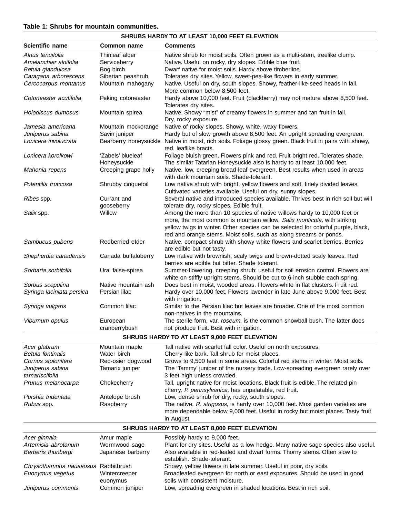#### **Table 1: Shrubs for mountain communities.**

| SHRUBS HARDY TO AT LEAST 10,000 FEET ELEVATION |                            |                                                                                                                                                                |  |
|------------------------------------------------|----------------------------|----------------------------------------------------------------------------------------------------------------------------------------------------------------|--|
| Scientific name                                | Common name                | <b>Comments</b>                                                                                                                                                |  |
| Alnus tenuifolia                               | Thinleaf alder             | Native shrub for moist soils. Often grown as a multi-stem, treelike clump.                                                                                     |  |
| Amelanchier alnifolia                          | Serviceberry               | Native. Useful on rocky, dry slopes. Edible blue fruit.                                                                                                        |  |
| Betula glandulosa                              | Bog birch                  | Dwarf native for moist soils. Hardy above timberline.                                                                                                          |  |
| Caragana arborescens                           | Siberian peashrub          | Tolerates dry sites. Yellow, sweet-pea-like flowers in early summer.                                                                                           |  |
| Cercocarpus montanus                           | Mountain mahogany          | Native. Useful on dry, south slopes. Showy, feather-like seed heads in fall.                                                                                   |  |
|                                                |                            | More common below 8,500 feet.                                                                                                                                  |  |
| Cotoneaster acutifolia                         | Peking cotoneaster         | Hardy above 10,000 feet. Fruit (blackberry) may not mature above 8,500 feet.<br>Tolerates dry sites.                                                           |  |
| Holodiscus dumosus                             | Mountain spirea            | Native. Showy "mist" of creamy flowers in summer and tan fruit in fall.<br>Dry, rocky exposure.                                                                |  |
| Jamesia americana                              | Mountain mockorange        | Native of rocky slopes. Showy, white, waxy flowers.                                                                                                            |  |
| Juniperus sabina                               | Savin juniper              | Hardy but of slow growth above 8,500 feet. An upright spreading evergreen.                                                                                     |  |
| Lonicera involucrata                           | Bearberry honeysuckle      | Native in moist, rich soils. Foliage glossy green. Black fruit in pairs with showy,<br>red, leaflike bracts.                                                   |  |
| Lonicera korolkowi                             | 'Zabels' blueleaf          | Foliage bluish green. Flowers pink and red. Fruit bright red. Tolerates shade.                                                                                 |  |
|                                                | Honeysuckle                | The similar Tatarian Honeysuckle also is hardy to at least 10,000 feet.                                                                                        |  |
| Mahonia repens                                 | Creeping grape holly       | Native, low, creeping broad-leaf evergreen. Best results when used in areas<br>with dark mountain soils. Shade-tolerant.                                       |  |
| Potentilla fruticosa                           | Shrubby cinquefoil         | Low native shrub with bright, yellow flowers and soft, finely divided leaves.<br>Cultivated varieties available. Useful on dry, sunny slopes.                  |  |
| Ribes spp.                                     | Currant and<br>gooseberry  | Several native and introduced species available. Thrives best in rich soil but will<br>tolerate dry, rocky slopes. Edible fruit.                               |  |
| Salix spp.                                     | Willow                     | Among the more than 10 species of native willows hardy to 10,000 feet or                                                                                       |  |
|                                                |                            | more, the most common is mountain willow, Salix monticola, with striking                                                                                       |  |
|                                                |                            | yellow twigs in winter. Other species can be selected for colorful purple, black,                                                                              |  |
|                                                |                            | red and orange stems. Moist soils, such as along streams or ponds.                                                                                             |  |
| Sambucus pubens                                | Redberried elder           | Native, compact shrub with showy white flowers and scarlet berries. Berries<br>are edible but not tasty.                                                       |  |
| Shepherdia canadensis                          | Canada buffaloberry        | Low native with brownish, scaly twigs and brown-dotted scaly leaves. Red                                                                                       |  |
|                                                |                            | berries are edible but bitter. Shade tolerant.                                                                                                                 |  |
| Sorbaria sorbifolia                            | Ural false-spirea          | Summer-flowering, creeping shrub; useful for soil erosion control. Flowers are<br>white on stiffly upright stems. Should be cut to 6-inch stubble each spring. |  |
| Sorbus scopulina                               | Native mountain ash        | Does best in moist, wooded areas. Flowers white in flat clusters. Fruit red.                                                                                   |  |
| Syringa laciniata persica                      | Persian lilac              | Hardy over 10,000 feet. Flowers lavender in late June above 9,000 feet. Best<br>with irrigation.                                                               |  |
| Syringa vulgaris                               | Common lilac               | Similar to the Persian lilac but leaves are broader. One of the most common<br>non-natives in the mountains.                                                   |  |
| Viburnum opulus                                | European                   | The sterile form, var. roseum, is the common snowball bush. The latter does                                                                                    |  |
|                                                | cranberrybush              | not produce fruit. Best with irrigation.                                                                                                                       |  |
| SHRUBS HARDY TO AT LEAST 9,000 FEET ELEVATION  |                            |                                                                                                                                                                |  |
| Acer glabrum                                   | Mountain maple             | Tall native with scarlet fall color. Useful on north exposures.                                                                                                |  |
| Betula fontinalis                              | Water birch                | Cherry-like bark. Tall shrub for moist places.                                                                                                                 |  |
| Cornus stolonifera                             | Red-osier dogwood          | Grows to 9,500 feet in some areas. Colorful red stems in winter. Moist soils.                                                                                  |  |
| Juniperus sabina                               | Tamarix juniper            | The 'Tammy' juniper of the nursery trade. Low-spreading evergreen rarely over                                                                                  |  |
| tamariscifolia                                 |                            | 3 feet high unless crowded.                                                                                                                                    |  |
| Prunus melanocarpa                             | Chokecherry                | Tall, upright native for moist locations. Black fruit is edible. The related pin<br>cherry, P. pennsylvanica, has unpalatable, red fruit.                      |  |
| Purshia tridentata                             | Antelope brush             | Low, dense shrub for dry, rocky, south slopes.                                                                                                                 |  |
| Rubus spp.                                     | Raspberry                  | The native, R. strigosus, is hardy over 10,000 feet. Most garden varieties are                                                                                 |  |
|                                                |                            | more dependable below 9,000 feet. Useful in rocky but moist places. Tasty fruit<br>in August.                                                                  |  |
| SHRUBS HARDY TO AT LEAST 8,000 FEET ELEVATION  |                            |                                                                                                                                                                |  |
|                                                |                            |                                                                                                                                                                |  |
| Acer ginnala                                   | Amur maple                 | Possibly hardy to 9,000 feet.                                                                                                                                  |  |
| Artemisia abrotanum                            | Wormwood sage              | Plant for dry sites. Useful as a low hedge. Many native sage species also useful.                                                                              |  |
| Berberis thunbergi                             | Japanese barberry          | Also available in red-leafed and dwarf forms. Thorny stems. Often slow to                                                                                      |  |
|                                                |                            | establish. Shade-tolerant.                                                                                                                                     |  |
| Chrysothamnus nauseosus Rabbitbrush            |                            | Showy, yellow flowers in late summer. Useful in poor, dry soils.                                                                                               |  |
| Euonymus vegetus                               | Wintercreeper              | Broadleafed evergreen for north or east exposures. Should be used in good<br>soils with consistent moisture.                                                   |  |
| Juniperus communis                             | euonymus<br>Common juniper | Low, spreading evergreen in shaded locations. Best in rich soil.                                                                                               |  |
|                                                |                            |                                                                                                                                                                |  |